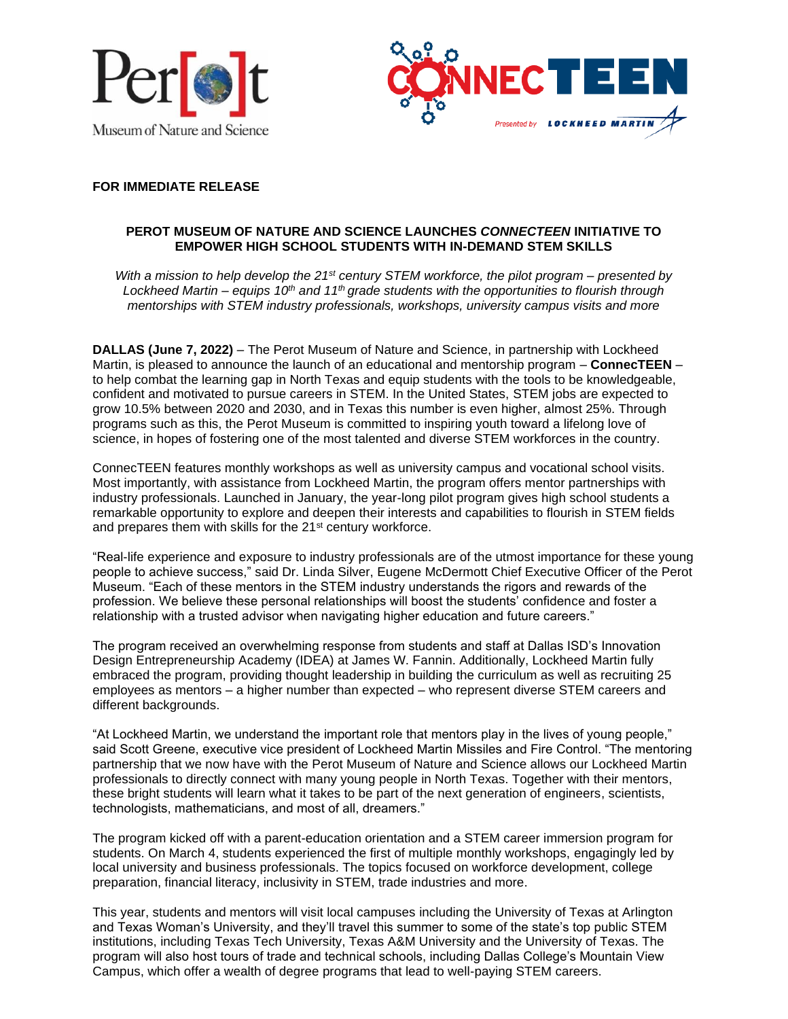



## **FOR IMMEDIATE RELEASE**

## **PEROT MUSEUM OF NATURE AND SCIENCE LAUNCHES** *CONNECTEEN* **INITIATIVE TO EMPOWER HIGH SCHOOL STUDENTS WITH IN-DEMAND STEM SKILLS**

*With a mission to help develop the 21st century STEM workforce, the pilot program – presented by Lockheed Martin – equips 10th and 11th grade students with the opportunities to flourish through mentorships with STEM industry professionals, workshops, university campus visits and more*

**DALLAS (June 7, 2022)** – The Perot Museum of Nature and Science, in partnership with Lockheed Martin, is pleased to announce the launch of an educational and mentorship program – **ConnecTEEN** – to help combat the learning gap in North Texas and equip students with the tools to be knowledgeable, confident and motivated to pursue careers in STEM. In the United States, STEM jobs are expected to grow 10.5% between 2020 and 2030, and in Texas this number is even higher, almost 25%. Through programs such as this, the Perot Museum is committed to inspiring youth toward a lifelong love of science, in hopes of fostering one of the most talented and diverse STEM workforces in the country.

ConnecTEEN features monthly workshops as well as university campus and vocational school visits. Most importantly, with assistance from Lockheed Martin, the program offers mentor partnerships with industry professionals. Launched in January, the year-long pilot program gives high school students a remarkable opportunity to explore and deepen their interests and capabilities to flourish in STEM fields and prepares them with skills for the 21<sup>st</sup> century workforce.

"Real-life experience and exposure to industry professionals are of the utmost importance for these young people to achieve success," said Dr. Linda Silver, Eugene McDermott Chief Executive Officer of the Perot Museum. "Each of these mentors in the STEM industry understands the rigors and rewards of the profession. We believe these personal relationships will boost the students' confidence and foster a relationship with a trusted advisor when navigating higher education and future careers."

The program received an overwhelming response from students and staff at Dallas ISD's Innovation Design Entrepreneurship Academy (IDEA) at James W. Fannin. Additionally, Lockheed Martin fully embraced the program, providing thought leadership in building the curriculum as well as recruiting 25 employees as mentors – a higher number than expected – who represent diverse STEM careers and different backgrounds.

"At Lockheed Martin, we understand the important role that mentors play in the lives of young people," said Scott Greene, executive vice president of Lockheed Martin Missiles and Fire Control. "The mentoring partnership that we now have with the Perot Museum of Nature and Science allows our Lockheed Martin professionals to directly connect with many young people in North Texas. Together with their mentors, these bright students will learn what it takes to be part of the next generation of engineers, scientists, technologists, mathematicians, and most of all, dreamers."

The program kicked off with a parent-education orientation and a STEM career immersion program for students. On March 4, students experienced the first of multiple monthly workshops, engagingly led by local university and business professionals. The topics focused on workforce development, college preparation, financial literacy, inclusivity in STEM, trade industries and more.

This year, students and mentors will visit local campuses including the University of Texas at Arlington and Texas Woman's University, and they'll travel this summer to some of the state's top public STEM institutions, including Texas Tech University, Texas A&M University and the University of Texas. The program will also host tours of trade and technical schools, including Dallas College's Mountain View Campus, which offer a wealth of degree programs that lead to well-paying STEM careers.